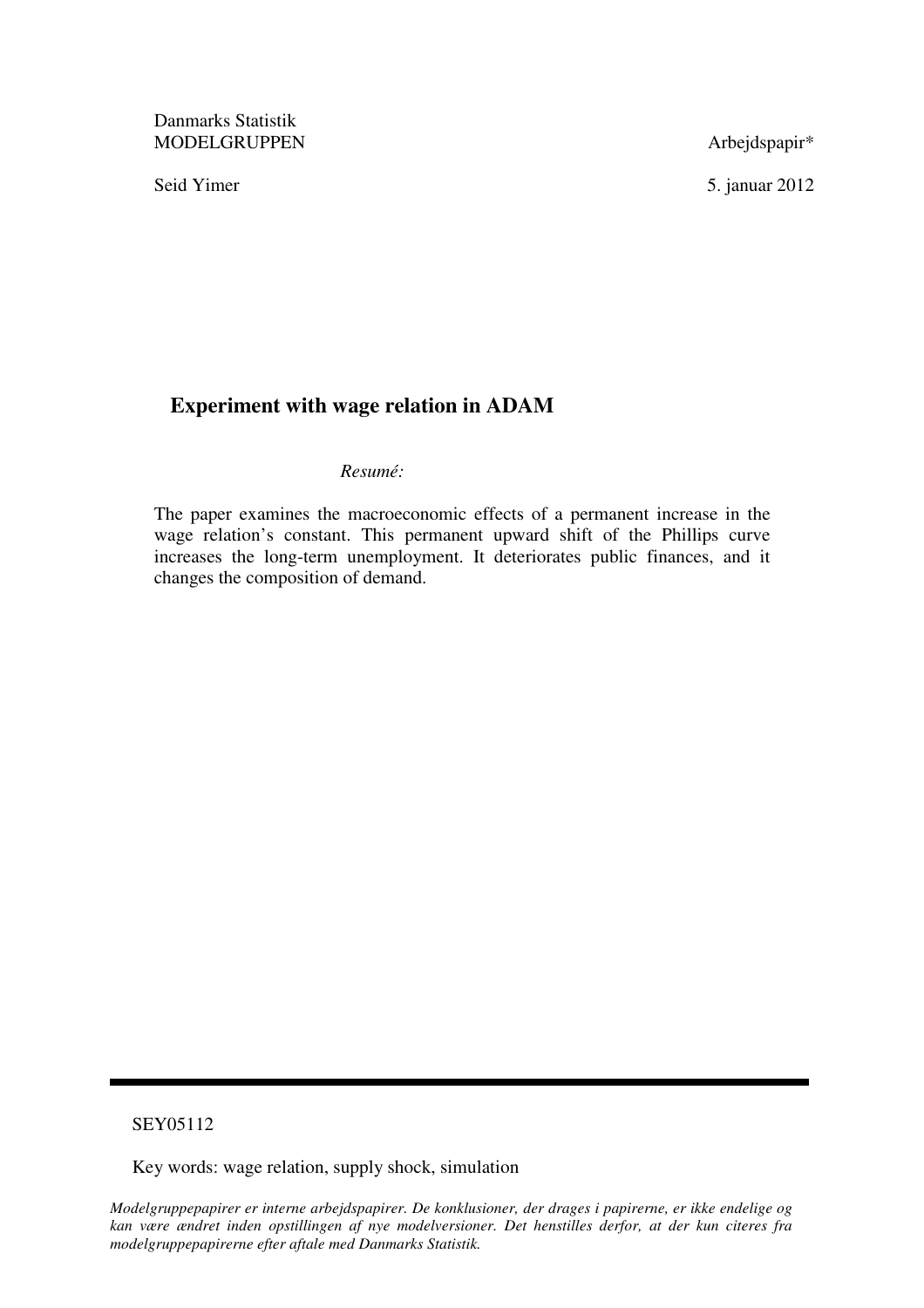Danmarks Statistik MODELGRUPPEN Arbejdspapir\*

Seid Yimer 5. januar 2012

# **Experiment with wage relation in ADAM**

### *Resumé:*

The paper examines the macroeconomic effects of a permanent increase in the wage relation's constant. This permanent upward shift of the Phillips curve increases the long-term unemployment. It deteriorates public finances, and it changes the composition of demand.

# SEY05112

Key words: wage relation, supply shock, simulation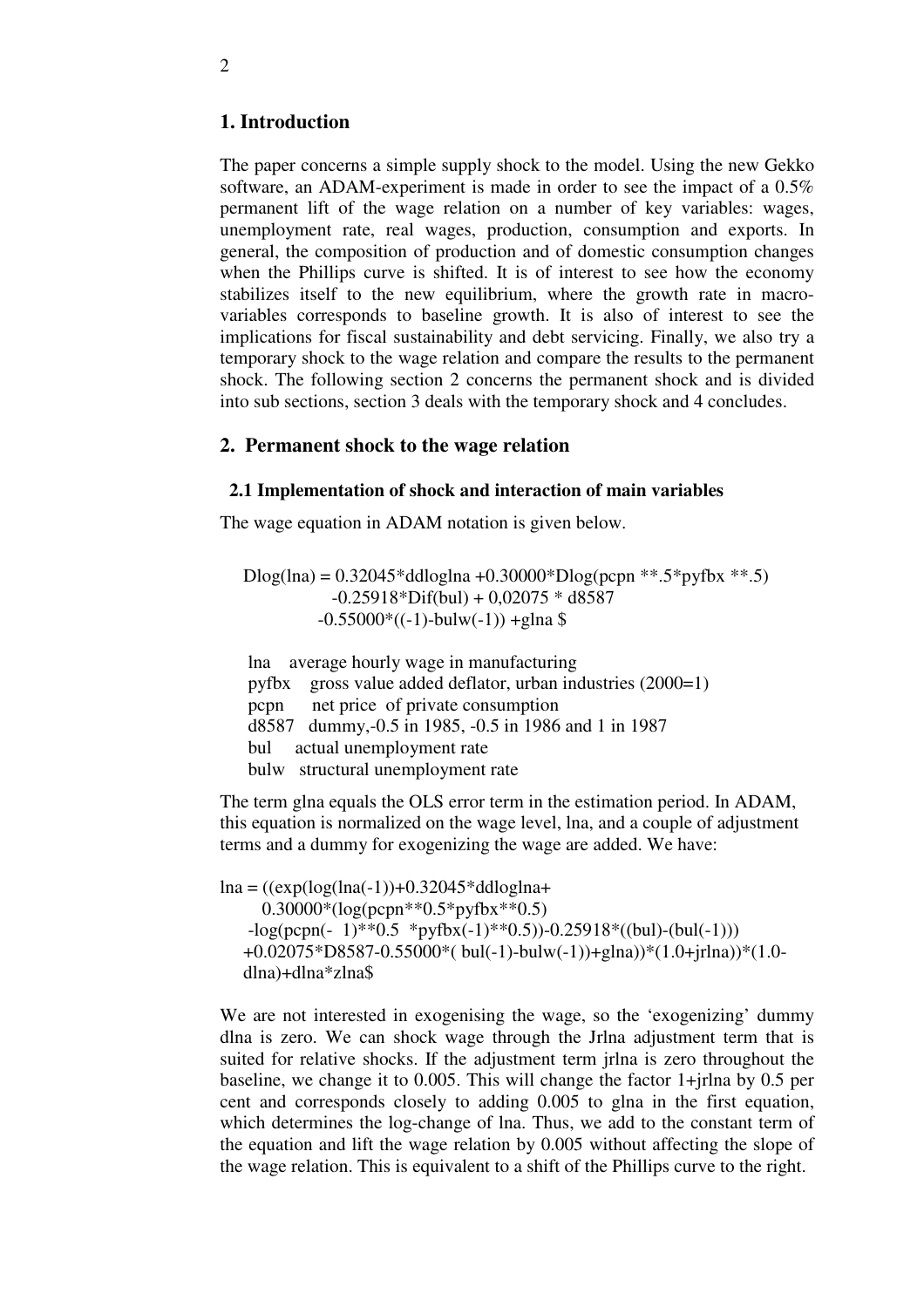# **1. Introduction**

The paper concerns a simple supply shock to the model. Using the new Gekko software, an ADAM-experiment is made in order to see the impact of a 0.5% permanent lift of the wage relation on a number of key variables: wages, unemployment rate, real wages, production, consumption and exports. In general, the composition of production and of domestic consumption changes when the Phillips curve is shifted. It is of interest to see how the economy stabilizes itself to the new equilibrium, where the growth rate in macrovariables corresponds to baseline growth. It is also of interest to see the implications for fiscal sustainability and debt servicing. Finally, we also try a temporary shock to the wage relation and compare the results to the permanent shock. The following section 2 concerns the permanent shock and is divided into sub sections, section 3 deals with the temporary shock and 4 concludes.

### **2. Permanent shock to the wage relation**

#### **2.1 Implementation of shock and interaction of main variables**

The wage equation in ADAM notation is given below.

 Dlog(lna) = 0.32045\*ddloglna +0.30000\*Dlog(pcpn \*\*.5\*pyfbx \*\*.5)  $-0.25918 * Diff(bul) + 0.02075 * d8587$  $-0.55000*((-1)-bulw(-1)) +glna$ \$

lna average hourly wage in manufacturing pyfbx gross value added deflator, urban industries (2000=1) pcpn net price of private consumption d8587 dummy,-0.5 in 1985, -0.5 in 1986 and 1 in 1987 bul actual unemployment rate bulw structural unemployment rate

The term glna equals the OLS error term in the estimation period. In ADAM, this equation is normalized on the wage level, lna, and a couple of adjustment terms and a dummy for exogenizing the wage are added. We have:

```
ln a = ((exp(log(lna(-1)) + 0.32045 * ddloglna +0.30000*(\log(pcpn**0.5*pyfbx**0.5))-log(pcpn(- 1) * *0.5 *pyfbx(-1) * *0.5) -0.25918 *((bul)-(bul(-1))) +0.02075*D8587-0.55000*( bul(-1)-bulw(-1))+glna))*(1.0+jrlna))*(1.0- 
dlna)+dlna*zlna$
```
We are not interested in exogenising the wage, so the 'exogenizing' dummy dlna is zero. We can shock wage through the Jrlna adjustment term that is suited for relative shocks. If the adjustment term jrlna is zero throughout the baseline, we change it to 0.005. This will change the factor 1+jrlna by 0.5 per cent and corresponds closely to adding 0.005 to glna in the first equation, which determines the log-change of lna. Thus, we add to the constant term of the equation and lift the wage relation by 0.005 without affecting the slope of the wage relation. This is equivalent to a shift of the Phillips curve to the right.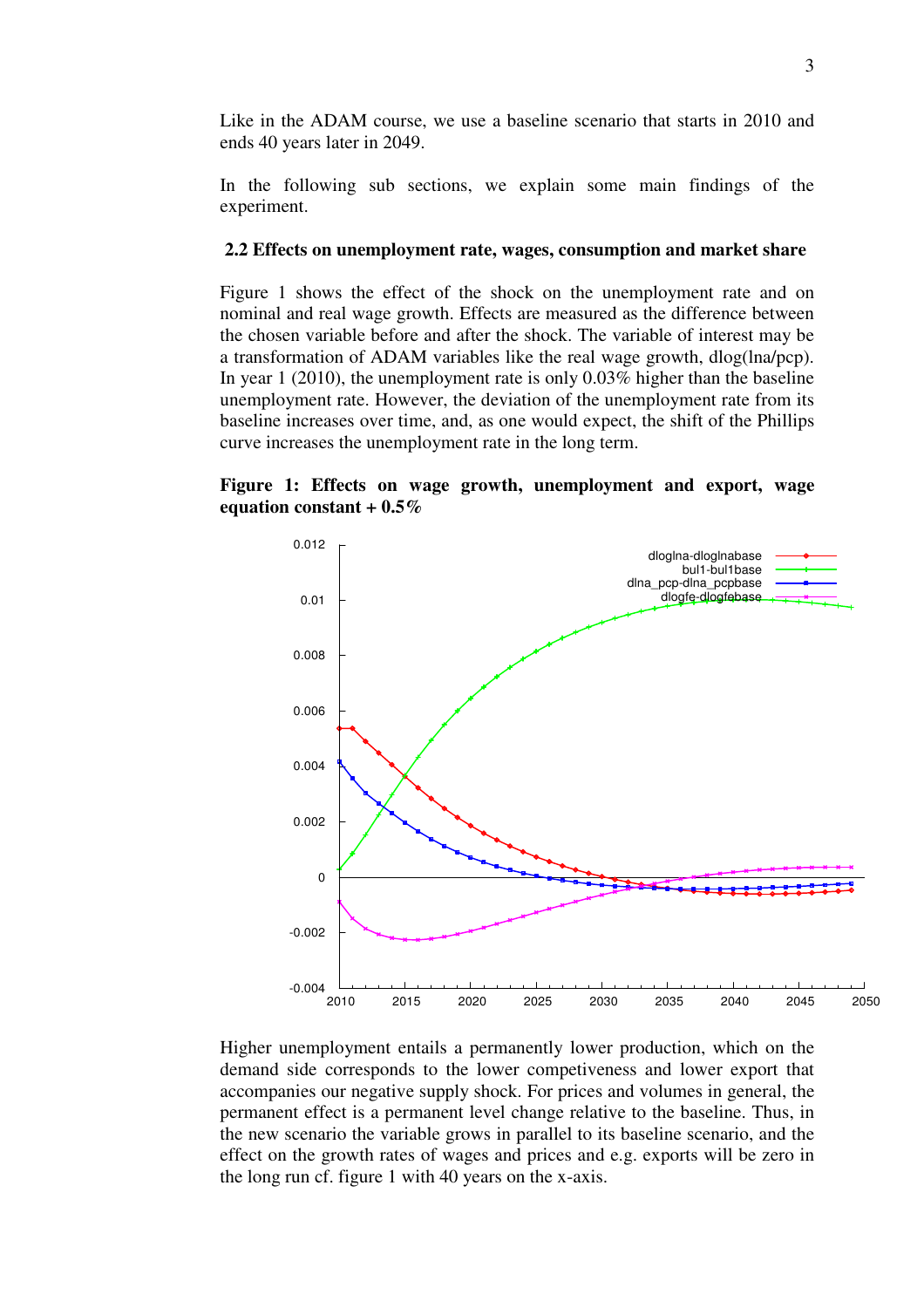Like in the ADAM course, we use a baseline scenario that starts in 2010 and ends 40 years later in 2049.

In the following sub sections, we explain some main findings of the experiment.

#### **2.2 Effects on unemployment rate, wages, consumption and market share**

Figure 1 shows the effect of the shock on the unemployment rate and on nominal and real wage growth. Effects are measured as the difference between the chosen variable before and after the shock. The variable of interest may be a transformation of ADAM variables like the real wage growth, dlog(lna/pcp). In year 1 (2010), the unemployment rate is only 0.03% higher than the baseline unemployment rate. However, the deviation of the unemployment rate from its baseline increases over time, and, as one would expect, the shift of the Phillips curve increases the unemployment rate in the long term.

### **Figure 1: Effects on wage growth, unemployment and export, wage equation constant + 0.5%**



Higher unemployment entails a permanently lower production, which on the demand side corresponds to the lower competiveness and lower export that accompanies our negative supply shock. For prices and volumes in general, the permanent effect is a permanent level change relative to the baseline. Thus, in the new scenario the variable grows in parallel to its baseline scenario, and the effect on the growth rates of wages and prices and e.g. exports will be zero in the long run cf. figure 1 with 40 years on the x-axis.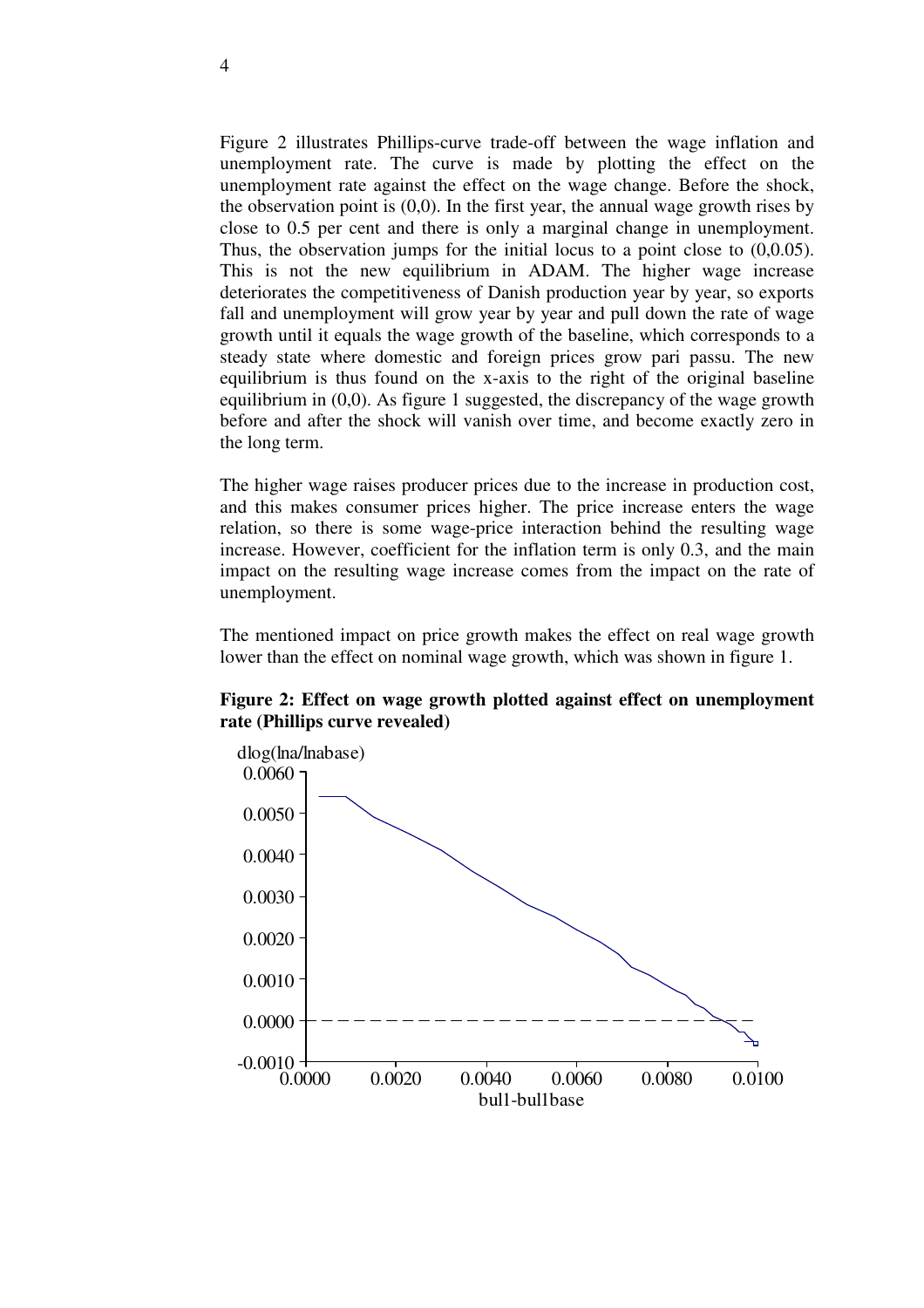Figure 2 illustrates Phillips-curve trade-off between the wage inflation and unemployment rate. The curve is made by plotting the effect on the unemployment rate against the effect on the wage change. Before the shock, the observation point is  $(0,0)$ . In the first year, the annual wage growth rises by close to 0.5 per cent and there is only a marginal change in unemployment. Thus, the observation jumps for the initial locus to a point close to  $(0,0.05)$ . This is not the new equilibrium in ADAM. The higher wage increase deteriorates the competitiveness of Danish production year by year, so exports fall and unemployment will grow year by year and pull down the rate of wage growth until it equals the wage growth of the baseline, which corresponds to a steady state where domestic and foreign prices grow pari passu. The new equilibrium is thus found on the x-axis to the right of the original baseline equilibrium in (0,0). As figure 1 suggested, the discrepancy of the wage growth before and after the shock will vanish over time, and become exactly zero in the long term.

The higher wage raises producer prices due to the increase in production cost, and this makes consumer prices higher. The price increase enters the wage relation, so there is some wage-price interaction behind the resulting wage increase. However, coefficient for the inflation term is only 0.3, and the main impact on the resulting wage increase comes from the impact on the rate of unemployment.

The mentioned impact on price growth makes the effect on real wage growth lower than the effect on nominal wage growth, which was shown in figure 1.

### **Figure 2: Effect on wage growth plotted against effect on unemployment rate (Phillips curve revealed)**

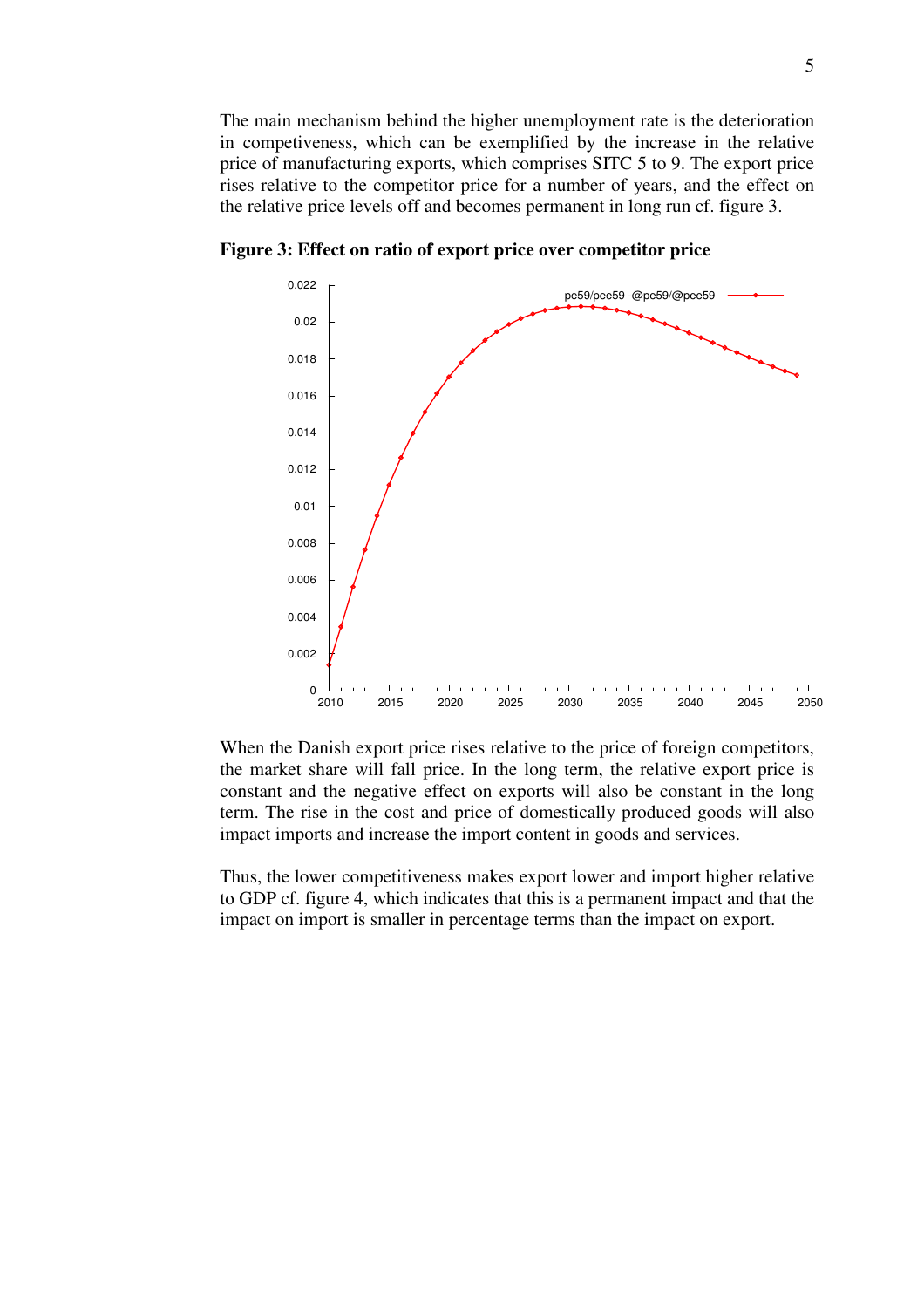The main mechanism behind the higher unemployment rate is the deterioration in competiveness, which can be exemplified by the increase in the relative price of manufacturing exports, which comprises SITC 5 to 9. The export price rises relative to the competitor price for a number of years, and the effect on the relative price levels off and becomes permanent in long run cf. figure 3.



**Figure 3: Effect on ratio of export price over competitor price** 

When the Danish export price rises relative to the price of foreign competitors, the market share will fall price. In the long term, the relative export price is constant and the negative effect on exports will also be constant in the long term. The rise in the cost and price of domestically produced goods will also impact imports and increase the import content in goods and services.

Thus, the lower competitiveness makes export lower and import higher relative to GDP cf. figure 4, which indicates that this is a permanent impact and that the impact on import is smaller in percentage terms than the impact on export.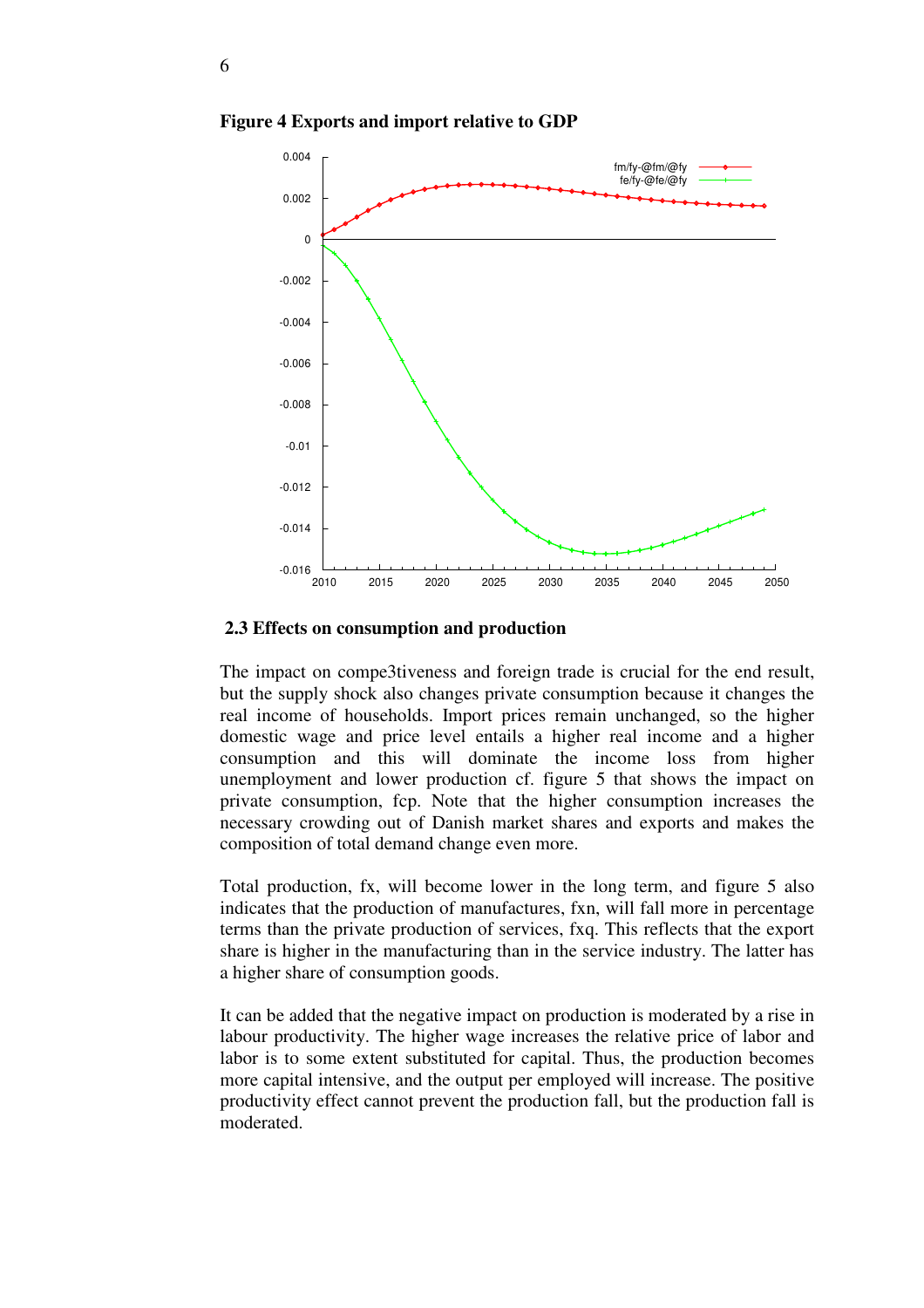

**Figure 4 Exports and import relative to GDP**

#### **2.3 Effects on consumption and production**

The impact on compe3tiveness and foreign trade is crucial for the end result, but the supply shock also changes private consumption because it changes the real income of households. Import prices remain unchanged, so the higher domestic wage and price level entails a higher real income and a higher consumption and this will dominate the income loss from higher unemployment and lower production cf. figure 5 that shows the impact on private consumption, fcp. Note that the higher consumption increases the necessary crowding out of Danish market shares and exports and makes the composition of total demand change even more.

Total production, fx, will become lower in the long term, and figure 5 also indicates that the production of manufactures, fxn, will fall more in percentage terms than the private production of services, fxq. This reflects that the export share is higher in the manufacturing than in the service industry. The latter has a higher share of consumption goods.

It can be added that the negative impact on production is moderated by a rise in labour productivity. The higher wage increases the relative price of labor and labor is to some extent substituted for capital. Thus, the production becomes more capital intensive, and the output per employed will increase. The positive productivity effect cannot prevent the production fall, but the production fall is moderated.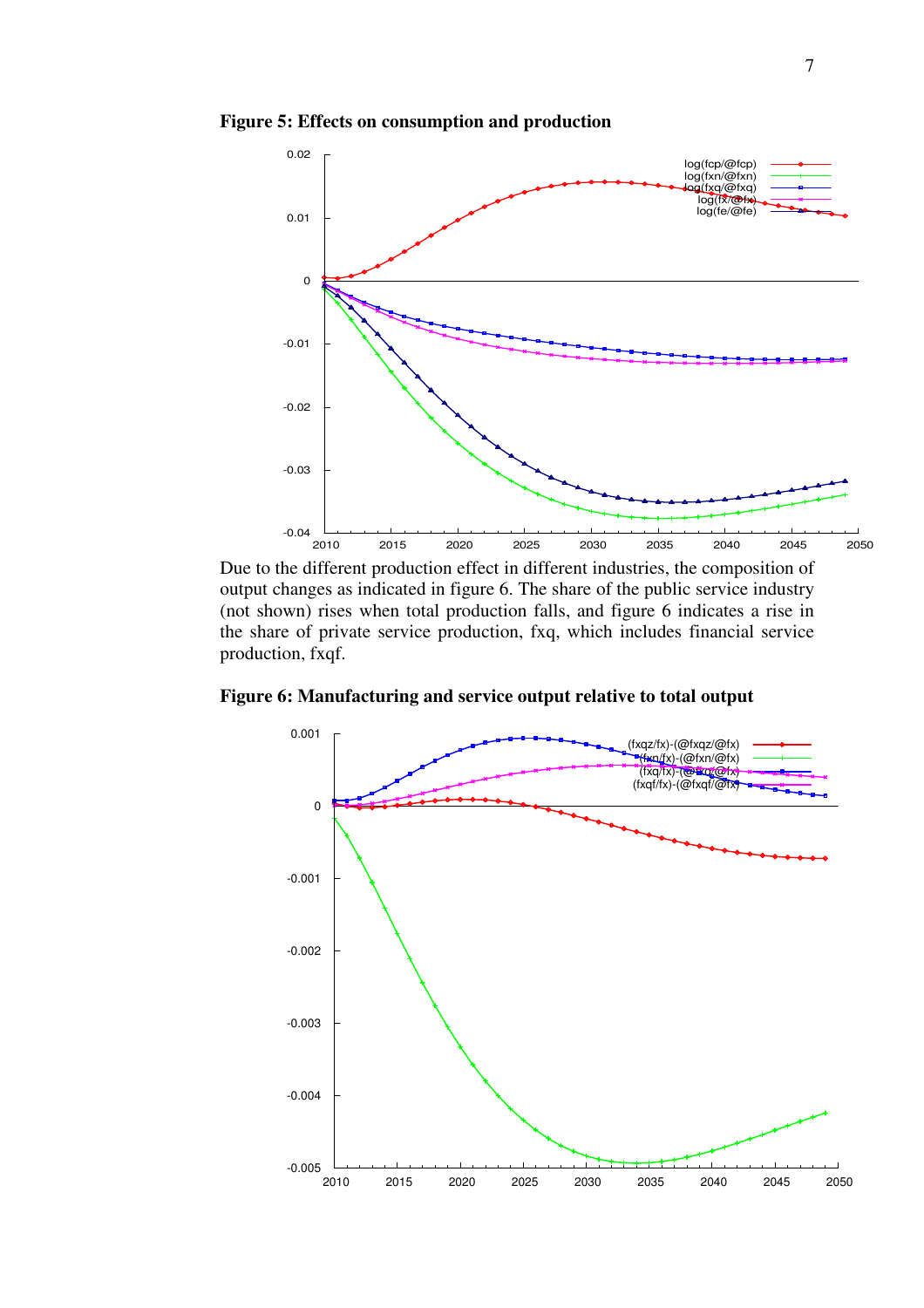**Figure 5: Effects on consumption and production** 



Due to the different production effect in different industries, the composition of output changes as indicated in figure 6. The share of the public service industry (not shown) rises when total production falls, and figure 6 indicates a rise in the share of private service production, fxq, which includes financial service production, fxqf.

**Figure 6: Manufacturing and service output relative to total output**

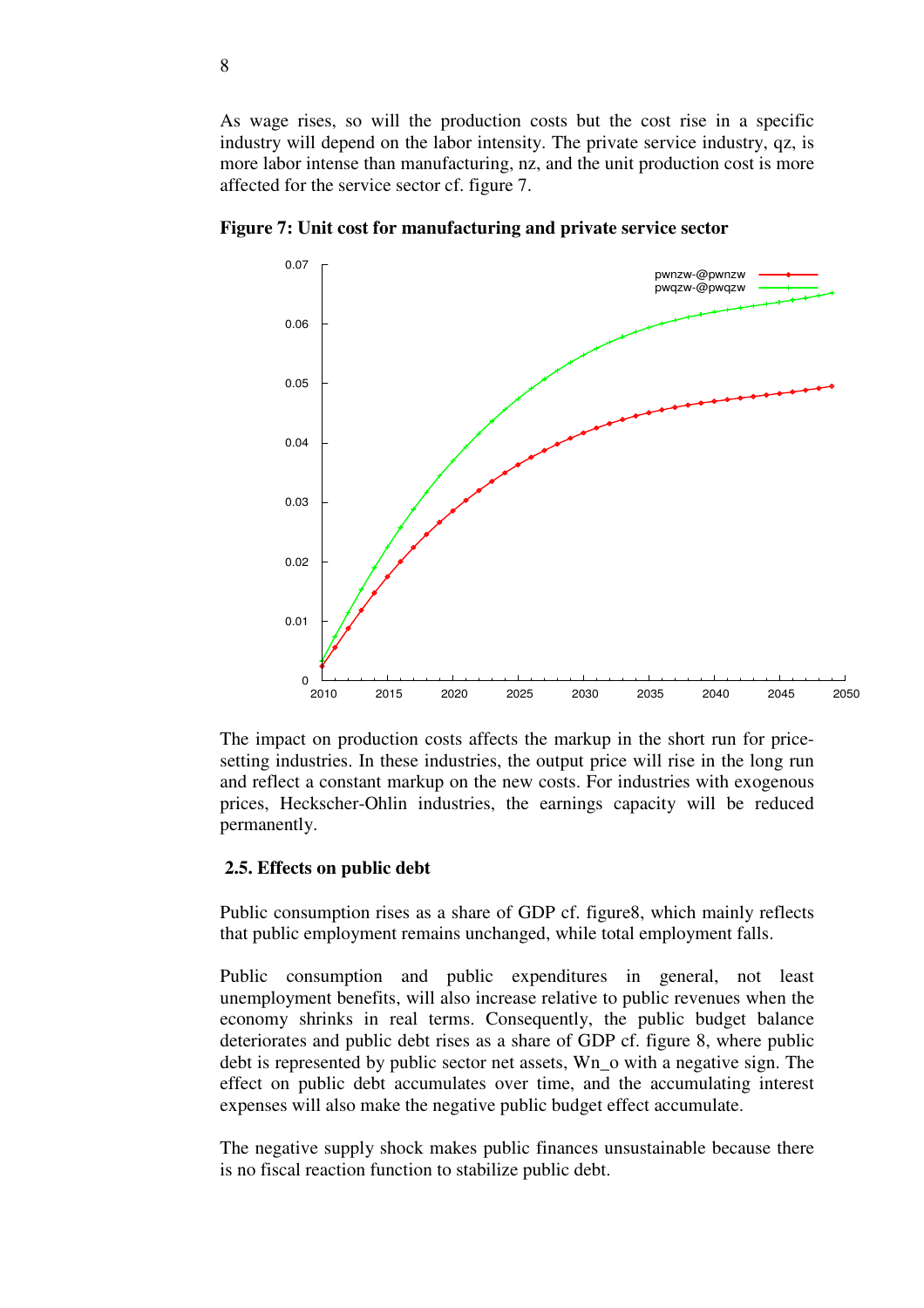As wage rises, so will the production costs but the cost rise in a specific industry will depend on the labor intensity. The private service industry, qz, is more labor intense than manufacturing, nz, and the unit production cost is more affected for the service sector cf. figure 7.



**Figure 7: Unit cost for manufacturing and private service sector** 

The impact on production costs affects the markup in the short run for pricesetting industries. In these industries, the output price will rise in the long run and reflect a constant markup on the new costs. For industries with exogenous prices, Heckscher-Ohlin industries, the earnings capacity will be reduced permanently.

#### **2.5. Effects on public debt**

Public consumption rises as a share of GDP cf. figure8, which mainly reflects that public employment remains unchanged, while total employment falls.

Public consumption and public expenditures in general, not least unemployment benefits, will also increase relative to public revenues when the economy shrinks in real terms. Consequently, the public budget balance deteriorates and public debt rises as a share of GDP cf. figure 8, where public debt is represented by public sector net assets, Wn\_o with a negative sign. The effect on public debt accumulates over time, and the accumulating interest expenses will also make the negative public budget effect accumulate.

The negative supply shock makes public finances unsustainable because there is no fiscal reaction function to stabilize public debt.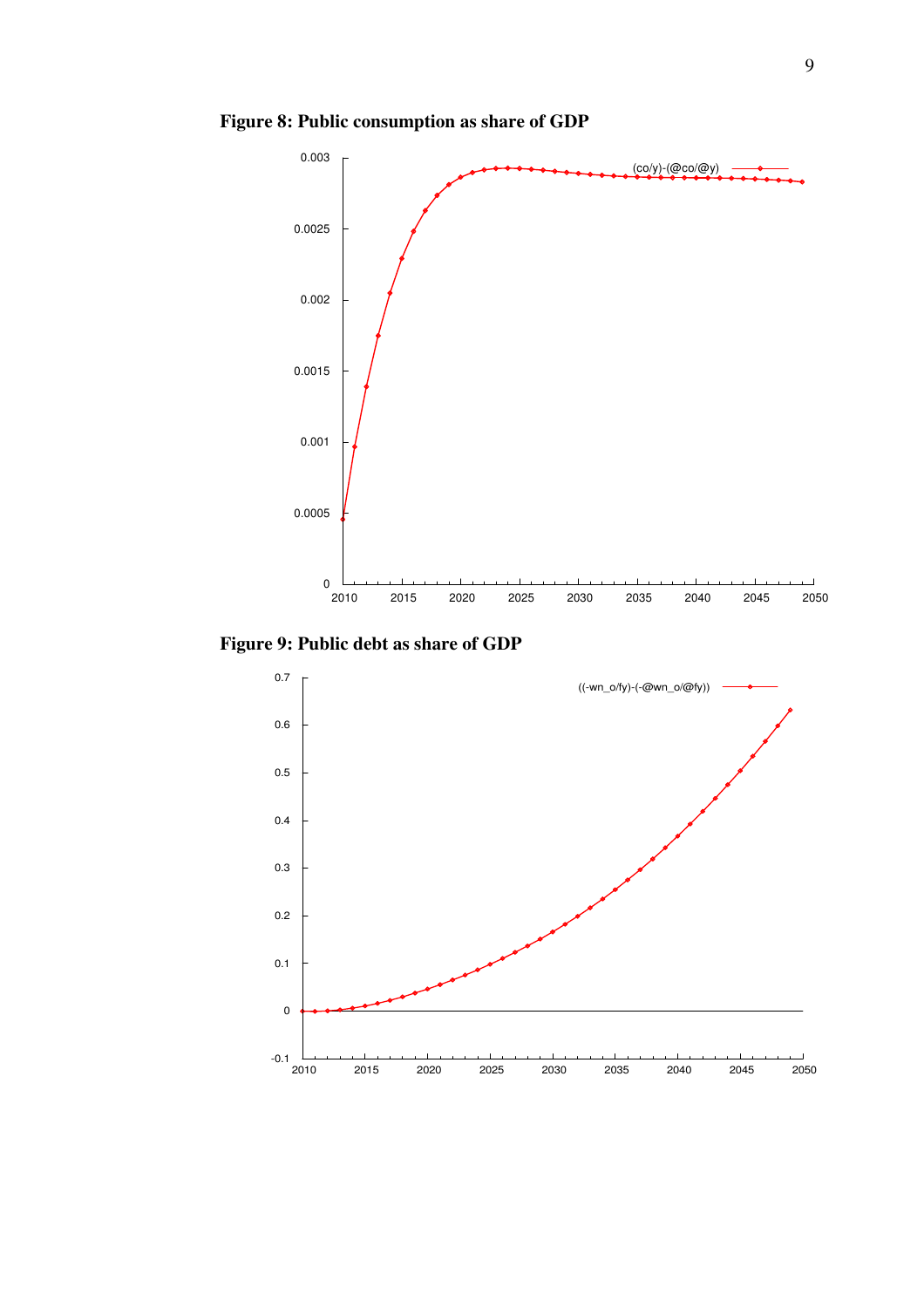**Figure 8: Public consumption as share of GDP**



**Figure 9: Public debt as share of GDP**